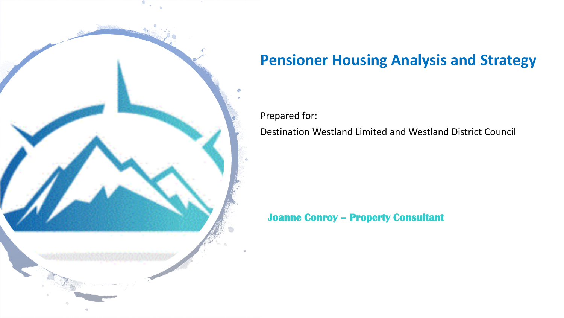

# **Pensioner Housing Analysis and Strategy**

Prepared for: Destination Westland Limited and Westland District Council

**Joanne Conroy – Property Consultant**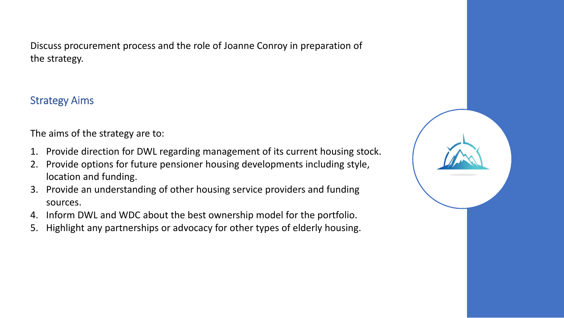Discuss procurement process and the role of Joanne Conroy in preparation of the strategy.

# Strategy Aims

The aims of the strategy are to:

- 1. Provide direction for DWL regarding management of its current housing stock.
- 2. Provide options for future pensioner housing developments including style, location and funding.
- 3. Provide an understanding of other housing service providers and funding sources.
- 4. Inform DWL and WDC about the best ownership model for the portfolio.
- 5. Highlight any partnerships or advocacy for other types of elderly housing.

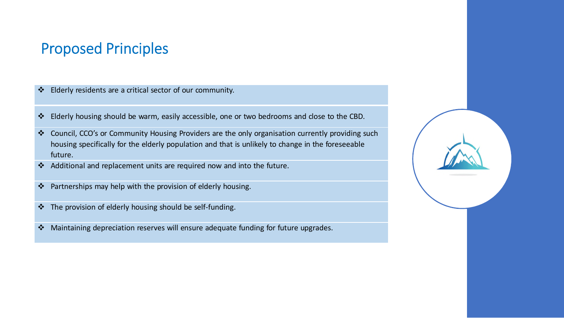# Proposed Principles

- Elderly residents are a critical sector of our community.
- Elderly housing should be warm, easily accessible, one or two bedrooms and close to the CBD.
- Council, CCO's or Community Housing Providers are the only organisation currently providing such housing specifically for the elderly population and that is unlikely to change in the foreseeable future.
- Additional and replacement units are required now and into the future.
- ❖ Partnerships may help with the provision of elderly housing.
- The provision of elderly housing should be self-funding.
- Maintaining depreciation reserves will ensure adequate funding for future upgrades.

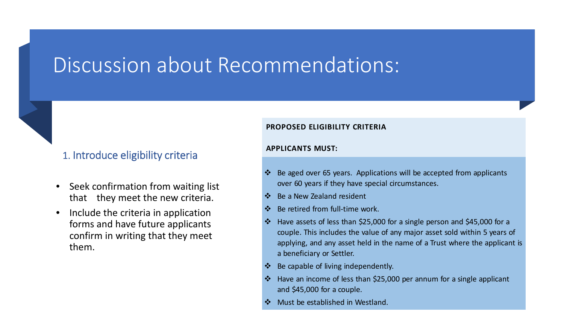# Discussion about Recommendations:

# 1. Introduce eligibility criteria

- Seek confirmation from waiting list that they meet the new criteria.
- Include the criteria in application forms and have future applicants confirm in writing that they meet them.

#### **PROPOSED ELIGIBILITY CRITERIA**

#### **APPLICANTS MUST:**

- $\cdot \cdot$  Be aged over 65 years. Applications will be accepted from applicants over 60 years if they have special circumstances.
- ❖ Be a New Zealand resident
- Be retired from full-time work.
- Have assets of less than \$25,000 for a single person and \$45,000 for a couple. This includes the value of any major asset sold within 5 years of applying, and any asset held in the name of a Trust where the applicant is a beneficiary or Settler.
- Be capable of living independently.
- Have an income of less than \$25,000 per annum for a single applicant and \$45,000 for a couple.
- Must be established in Westland.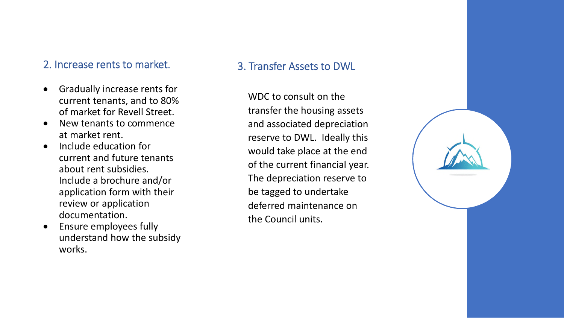# 2. Increase rents to market.

- Gradually increase rents for current tenants, and to 80% of market for Revell Street.
- New tenants to commence at market rent.
- Include education for current and future tenants about rent subsidies. Include a brochure and/or application form with their review or application documentation.
- Ensure employees fully understand how the subsidy works.

# 3. Transfer Assets to DWL

WDC to consult on the transfer the housing assets and associated depreciation reserve to DWL. Ideally this would take place at the end of the current financial year. The depreciation reserve to be tagged to undertake deferred maintenance on the Council units.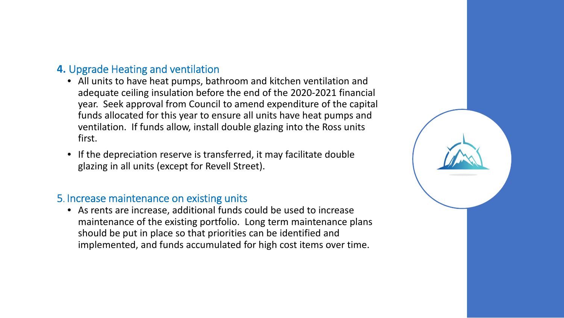# **4.** Upgrade Heating and ventilation

- All units to have heat pumps, bathroom and kitchen ventilation and adequate ceiling insulation before the end of the 2020-2021 financial year. Seek approval from Council to amend expenditure of the capital funds allocated for this year to ensure all units have heat pumps and ventilation. If funds allow, install double glazing into the Ross units first.
- If the depreciation reserve is transferred, it may facilitate double glazing in all units (except for Revell Street).

### 5. Increase maintenance on existing units

• As rents are increase, additional funds could be used to increase maintenance of the existing portfolio. Long term maintenance plans should be put in place so that priorities can be identified and implemented, and funds accumulated for high cost items over time.

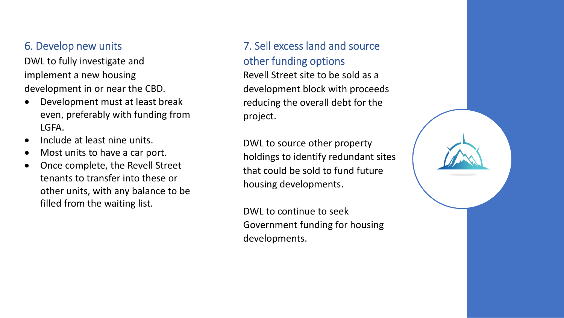# 6. Develop new units

DWL to fully investigate and implement a new housing development in or near the CBD.

- Development must at least break even, preferably with funding from LGFA.
- Include at least nine units.
- Most units to have a car port.
- Once complete, the Revell Street tenants to transfer into these or other units, with any balance to be filled from the waiting list.

# 7. Sell excess land and source other funding options

Revell Street site to be sold as a development block with proceeds reducing the overall debt for the project.

DWL to source other property holdings to identify redundant sites that could be sold to fund future housing developments.

DWL to continue to seek Government funding for housing developments.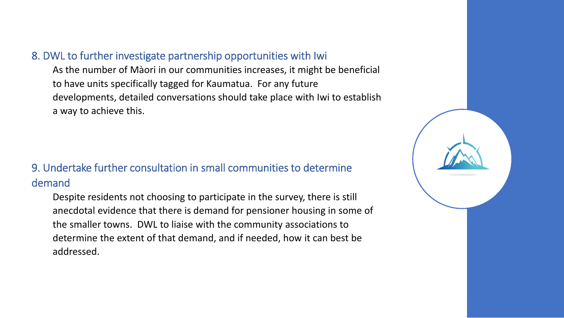## 8. DWL to further investigate partnership opportunities with Iwi

As the number of Màori in our communities increases, it might be beneficial to have units specifically tagged for Kaumatua. For any future developments, detailed conversations should take place with Iwi to establish a way to achieve this.

# 9. Undertake further consultation in small communities to determine demand

Despite residents not choosing to participate in the survey, there is still anecdotal evidence that there is demand for pensioner housing in some of the smaller towns. DWL to liaise with the community associations to determine the extent of that demand, and if needed, how it can best be addressed.

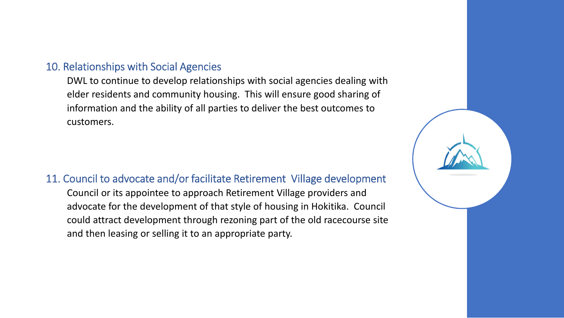## 10. Relationships with Social Agencies

DWL to continue to develop relationships with social agencies dealing with elder residents and community housing. This will ensure good sharing of information and the ability of all parties to deliver the best outcomes to customers.

# 11. Council to advocate and/or facilitate Retirement Village development

Council or its appointee to approach Retirement Village providers and advocate for the development of that style of housing in Hokitika. Council could attract development through rezoning part of the old racecourse site and then leasing or selling it to an appropriate party.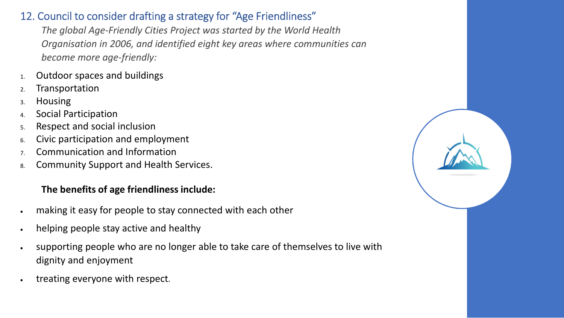# 12. Council to consider drafting a strategy for "Age Friendliness"

*The global Age-Friendly Cities Project was started by the World Health Organisation in 2006, and identified eight key areas where communities can become more age-friendly:*

- 1. Outdoor spaces and buildings
- 2. Transportation
- 3. Housing
- 4. Social Participation
- 5. Respect and social inclusion
- 6. Civic participation and employment
- 7. Communication and Information
- 8. Community Support and Health Services.

# **The benefits of age friendliness include:**

- making it easy for people to stay connected with each other
- helping people stay active and healthy
- supporting people who are no longer able to take care of themselves to live with dignity and enjoyment
- treating everyone with respect*.*